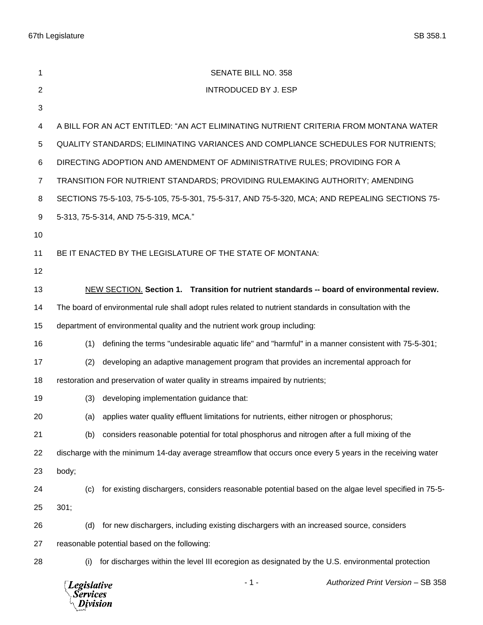| 1                                                                                               | SENATE BILL NO. 358                                                                                         |
|-------------------------------------------------------------------------------------------------|-------------------------------------------------------------------------------------------------------------|
| $\overline{2}$                                                                                  | <b>INTRODUCED BY J. ESP</b>                                                                                 |
| 3                                                                                               |                                                                                                             |
| 4                                                                                               | A BILL FOR AN ACT ENTITLED: "AN ACT ELIMINATING NUTRIENT CRITERIA FROM MONTANA WATER                        |
| 5                                                                                               | QUALITY STANDARDS; ELIMINATING VARIANCES AND COMPLIANCE SCHEDULES FOR NUTRIENTS;                            |
| 6                                                                                               | DIRECTING ADOPTION AND AMENDMENT OF ADMINISTRATIVE RULES; PROVIDING FOR A                                   |
| $\overline{7}$                                                                                  | TRANSITION FOR NUTRIENT STANDARDS; PROVIDING RULEMAKING AUTHORITY; AMENDING                                 |
| 8                                                                                               | SECTIONS 75-5-103, 75-5-105, 75-5-301, 75-5-317, AND 75-5-320, MCA; AND REPEALING SECTIONS 75-              |
| 9                                                                                               | 5-313, 75-5-314, AND 75-5-319, MCA."                                                                        |
| 10                                                                                              |                                                                                                             |
| 11                                                                                              | BE IT ENACTED BY THE LEGISLATURE OF THE STATE OF MONTANA:                                                   |
| 12                                                                                              |                                                                                                             |
| 13                                                                                              | NEW SECTION. Section 1. Transition for nutrient standards -- board of environmental review.                 |
| 14                                                                                              | The board of environmental rule shall adopt rules related to nutrient standards in consultation with the    |
| 15                                                                                              | department of environmental quality and the nutrient work group including:                                  |
| 16                                                                                              | defining the terms "undesirable aquatic life" and "harmful" in a manner consistent with 75-5-301;<br>(1)    |
| 17                                                                                              | developing an adaptive management program that provides an incremental approach for<br>(2)                  |
| 18                                                                                              | restoration and preservation of water quality in streams impaired by nutrients;                             |
| 19                                                                                              | developing implementation guidance that:<br>(3)                                                             |
| 20                                                                                              | (a) applies water quality effluent limitations for nutrients, either nitrogen or phosphorus;                |
| 21                                                                                              | considers reasonable potential for total phosphorus and nitrogen after a full mixing of the<br>(b)          |
| 22                                                                                              | discharge with the minimum 14-day average streamflow that occurs once every 5 years in the receiving water  |
| 23                                                                                              | body;                                                                                                       |
| 24                                                                                              | for existing dischargers, considers reasonable potential based on the algae level specified in 75-5-<br>(c) |
| 25                                                                                              | 301;                                                                                                        |
| 26                                                                                              | for new dischargers, including existing dischargers with an increased source, considers<br>(d)              |
| 27                                                                                              | reasonable potential based on the following:                                                                |
| 28                                                                                              | for discharges within the level III ecoregion as designated by the U.S. environmental protection<br>(i)     |
| Authorized Print Version - SB 358<br>- 1 -<br><b>Legislative</b><br><i>Services</i><br>Division |                                                                                                             |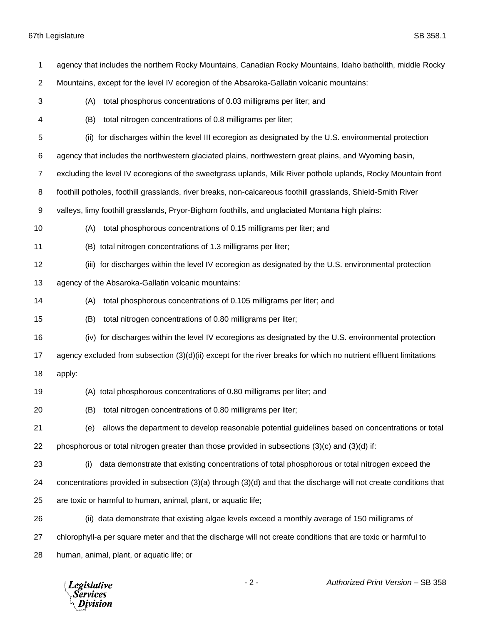| 1              | agency that includes the northern Rocky Mountains, Canadian Rocky Mountains, Idaho batholith, middle Rocky          |  |  |
|----------------|---------------------------------------------------------------------------------------------------------------------|--|--|
| $\overline{2}$ | Mountains, except for the level IV ecoregion of the Absaroka-Gallatin volcanic mountains:                           |  |  |
| 3              | (A)<br>total phosphorus concentrations of 0.03 milligrams per liter; and                                            |  |  |
| 4              | total nitrogen concentrations of 0.8 milligrams per liter;<br>(B)                                                   |  |  |
| 5              | (ii) for discharges within the level III ecoregion as designated by the U.S. environmental protection               |  |  |
| 6              | agency that includes the northwestern glaciated plains, northwestern great plains, and Wyoming basin,               |  |  |
| $\overline{7}$ | excluding the level IV ecoregions of the sweetgrass uplands, Milk River pothole uplands, Rocky Mountain front       |  |  |
| 8              | foothill potholes, foothill grasslands, river breaks, non-calcareous foothill grasslands, Shield-Smith River        |  |  |
| 9              | valleys, limy foothill grasslands, Pryor-Bighorn foothills, and unglaciated Montana high plains:                    |  |  |
| 10             | total phosphorous concentrations of 0.15 milligrams per liter; and<br>(A)                                           |  |  |
| 11             | (B) total nitrogen concentrations of 1.3 milligrams per liter;                                                      |  |  |
| 12             | (iii) for discharges within the level IV ecoregion as designated by the U.S. environmental protection               |  |  |
| 13             | agency of the Absaroka-Gallatin volcanic mountains:                                                                 |  |  |
| 14             | total phosphorous concentrations of 0.105 milligrams per liter; and<br>(A)                                          |  |  |
| 15             | total nitrogen concentrations of 0.80 milligrams per liter;<br>(B)                                                  |  |  |
| 16             | (iv) for discharges within the level IV ecoregions as designated by the U.S. environmental protection               |  |  |
| 17             | agency excluded from subsection $(3)(d)(ii)$ except for the river breaks for which no nutrient effluent limitations |  |  |
| 18             | apply:                                                                                                              |  |  |
| 19             | (A) total phosphorous concentrations of 0.80 milligrams per liter; and                                              |  |  |
| 20             | (B) total nitrogen concentrations of 0.80 milligrams per liter;                                                     |  |  |
| 21             | allows the department to develop reasonable potential guidelines based on concentrations or total<br>(e)            |  |  |
| 22             | phosphorous or total nitrogen greater than those provided in subsections (3)(c) and (3)(d) if:                      |  |  |
| 23             | data demonstrate that existing concentrations of total phosphorous or total nitrogen exceed the<br>(i)              |  |  |
| 24             | concentrations provided in subsection (3)(a) through (3)(d) and that the discharge will not create conditions that  |  |  |
| 25             | are toxic or harmful to human, animal, plant, or aquatic life;                                                      |  |  |
| 26             | (ii) data demonstrate that existing algae levels exceed a monthly average of 150 milligrams of                      |  |  |
| 27             | chlorophyll-a per square meter and that the discharge will not create conditions that are toxic or harmful to       |  |  |
| 28             | human, animal, plant, or aquatic life; or                                                                           |  |  |

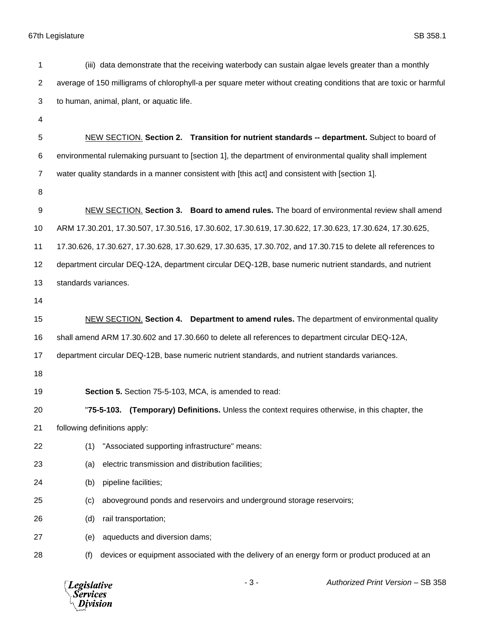| 1              | (iii) data demonstrate that the receiving waterbody can sustain algae levels greater than a monthly               |  |  |  |
|----------------|-------------------------------------------------------------------------------------------------------------------|--|--|--|
| 2              | average of 150 milligrams of chlorophyll-a per square meter without creating conditions that are toxic or harmful |  |  |  |
| 3              | to human, animal, plant, or aquatic life.                                                                         |  |  |  |
| 4              |                                                                                                                   |  |  |  |
| 5              | NEW SECTION. Section 2. Transition for nutrient standards -- department. Subject to board of                      |  |  |  |
| 6              | environmental rulemaking pursuant to [section 1], the department of environmental quality shall implement         |  |  |  |
| $\overline{7}$ | water quality standards in a manner consistent with [this act] and consistent with [section 1].                   |  |  |  |
| 8              |                                                                                                                   |  |  |  |
| 9              | NEW SECTION. Section 3. Board to amend rules. The board of environmental review shall amend                       |  |  |  |
| 10             | ARM 17.30.201, 17.30.507, 17.30.516, 17.30.602, 17.30.619, 17.30.622, 17.30.623, 17.30.624, 17.30.625,            |  |  |  |
| 11             | 17.30.626, 17.30.627, 17.30.628, 17.30.629, 17.30.635, 17.30.702, and 17.30.715 to delete all references to       |  |  |  |
| 12             | department circular DEQ-12A, department circular DEQ-12B, base numeric nutrient standards, and nutrient           |  |  |  |
| 13             | standards variances.                                                                                              |  |  |  |
| 14             |                                                                                                                   |  |  |  |
| 15             | NEW SECTION. Section 4. Department to amend rules. The department of environmental quality                        |  |  |  |
| 16             | shall amend ARM 17.30.602 and 17.30.660 to delete all references to department circular DEQ-12A,                  |  |  |  |
| 17             | department circular DEQ-12B, base numeric nutrient standards, and nutrient standards variances.                   |  |  |  |
| 18             |                                                                                                                   |  |  |  |
| 19             | Section 5. Section 75-5-103, MCA, is amended to read:                                                             |  |  |  |
| 20             | "75-5-103. (Temporary) Definitions. Unless the context requires otherwise, in this chapter, the                   |  |  |  |
| 21             | following definitions apply:                                                                                      |  |  |  |
| 22             | "Associated supporting infrastructure" means:<br>(1)                                                              |  |  |  |
| 23             | electric transmission and distribution facilities;<br>(a)                                                         |  |  |  |
| 24             | pipeline facilities;<br>(b)                                                                                       |  |  |  |
| 25             | aboveground ponds and reservoirs and underground storage reservoirs;<br>(c)                                       |  |  |  |
| 26             | rail transportation;<br>(d)                                                                                       |  |  |  |
| 27             | aqueducts and diversion dams;<br>(e)                                                                              |  |  |  |
| 28             | devices or equipment associated with the delivery of an energy form or product produced at an<br>(f)              |  |  |  |

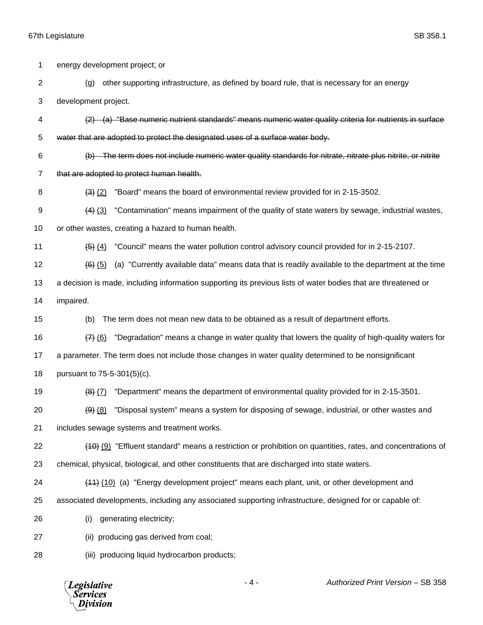energy development project; or (g) other supporting infrastructure, as defined by board rule, that is necessary for an energy development project. (2) (a) "Base numeric nutrient standards" means numeric water quality criteria for nutrients in surface water that are adopted to protect the designated uses of a surface water body. (b) The term does not include numeric water quality standards for nitrate, nitrate plus nitrite, or nitrite that are adopted to protect human health. 8 (3) (2) "Board" means the board of environmental review provided for in 2-15-3502. (4) (3) "Contamination" means impairment of the quality of state waters by sewage, industrial wastes, or other wastes, creating a hazard to human health. (5) (4) "Council" means the water pollution control advisory council provided for in 2-15-2107.  $(6)$  (5) (a) "Currently available data" means data that is readily available to the department at the time a decision is made, including information supporting its previous lists of water bodies that are threatened or impaired. (b) The term does not mean new data to be obtained as a result of department efforts.  $(7)$  (6) "Degradation" means a change in water quality that lowers the quality of high-quality waters for a parameter. The term does not include those changes in water quality determined to be nonsignificant pursuant to 75-5-301(5)(c). (8) (7) "Department" means the department of environmental quality provided for in 2-15-3501.  $(9)$  (8) "Disposal system" means a system for disposing of sewage, industrial, or other wastes and includes sewage systems and treatment works. 22 (10) (9) "Effluent standard" means a restriction or prohibition on quantities, rates, and concentrations of chemical, physical, biological, and other constituents that are discharged into state waters. 24 (11) (10) (a) "Energy development project" means each plant, unit, or other development and associated developments, including any associated supporting infrastructure, designed for or capable of: (i) generating electricity; (ii) producing gas derived from coal; (iii) producing liquid hydrocarbon products;

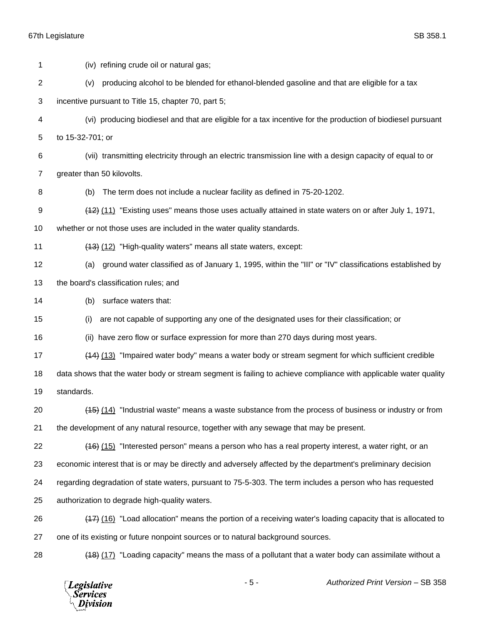| 1  | (iv) refining crude oil or natural gas;                                                                         |  |  |
|----|-----------------------------------------------------------------------------------------------------------------|--|--|
| 2  | producing alcohol to be blended for ethanol-blended gasoline and that are eligible for a tax<br>(v)             |  |  |
| 3  | incentive pursuant to Title 15, chapter 70, part 5;                                                             |  |  |
| 4  | (vi) producing biodiesel and that are eligible for a tax incentive for the production of biodiesel pursuant     |  |  |
| 5  | to 15-32-701; or                                                                                                |  |  |
| 6  | (vii) transmitting electricity through an electric transmission line with a design capacity of equal to or      |  |  |
| 7  | greater than 50 kilovolts.                                                                                      |  |  |
| 8  | The term does not include a nuclear facility as defined in 75-20-1202.<br>(b)                                   |  |  |
| 9  | (11) "Existing uses" means those uses actually attained in state waters on or after July 1, 1971,               |  |  |
| 10 | whether or not those uses are included in the water quality standards.                                          |  |  |
| 11 | (13) (12) "High-quality waters" means all state waters, except:                                                 |  |  |
| 12 | ground water classified as of January 1, 1995, within the "III" or "IV" classifications established by<br>(a)   |  |  |
| 13 | the board's classification rules; and                                                                           |  |  |
| 14 | surface waters that:<br>(b)                                                                                     |  |  |
| 15 | are not capable of supporting any one of the designated uses for their classification; or<br>(i)                |  |  |
| 16 | (ii) have zero flow or surface expression for more than 270 days during most years.                             |  |  |
| 17 | (13) "Impaired water body" means a water body or stream segment for which sufficient credible                   |  |  |
| 18 | data shows that the water body or stream segment is failing to achieve compliance with applicable water quality |  |  |
| 19 | standards.                                                                                                      |  |  |
| 20 | (14) "Industrial waste" means a waste substance from the process of business or industry or from                |  |  |
| 21 | the development of any natural resource, together with any sewage that may be present.                          |  |  |
| 22 | (46) (15) "Interested person" means a person who has a real property interest, a water right, or an             |  |  |
| 23 | economic interest that is or may be directly and adversely affected by the department's preliminary decision    |  |  |
| 24 | regarding degradation of state waters, pursuant to 75-5-303. The term includes a person who has requested       |  |  |
| 25 | authorization to degrade high-quality waters.                                                                   |  |  |
| 26 | (16) "Load allocation" means the portion of a receiving water's loading capacity that is allocated to           |  |  |
| 27 | one of its existing or future nonpoint sources or to natural background sources.                                |  |  |
| 28 | (17) "Loading capacity" means the mass of a pollutant that a water body can assimilate without a                |  |  |
|    |                                                                                                                 |  |  |

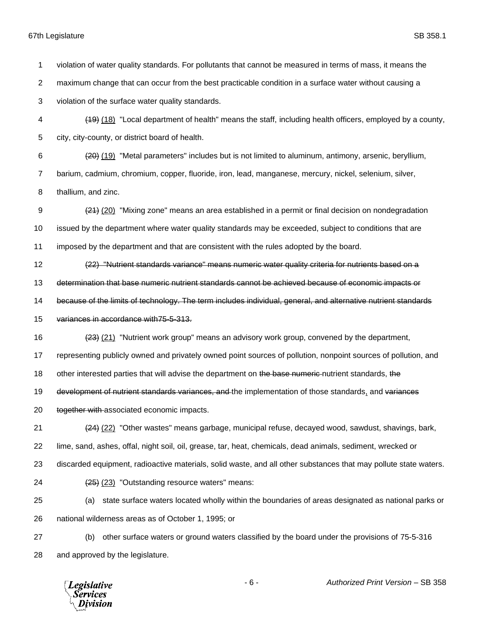violation of water quality standards. For pollutants that cannot be measured in terms of mass, it means the maximum change that can occur from the best practicable condition in a surface water without causing a violation of the surface water quality standards. (19) (18) "Local department of health" means the staff, including health officers, employed by a county, city, city-county, or district board of health. (20) (19) "Metal parameters" includes but is not limited to aluminum, antimony, arsenic, beryllium, barium, cadmium, chromium, copper, fluoride, iron, lead, manganese, mercury, nickel, selenium, silver, thallium, and zinc. (21) (20) "Mixing zone" means an area established in a permit or final decision on nondegradation issued by the department where water quality standards may be exceeded, subject to conditions that are imposed by the department and that are consistent with the rules adopted by the board. (22) "Nutrient standards variance" means numeric water quality criteria for nutrients based on a determination that base numeric nutrient standards cannot be achieved because of economic impacts or

because of the limits of technology. The term includes individual, general, and alternative nutrient standards

variances in accordance with75-5-313.

(23) (21) "Nutrient work group" means an advisory work group, convened by the department,

representing publicly owned and privately owned point sources of pollution, nonpoint sources of pollution, and

18 other interested parties that will advise the department on the base numeric nutrient standards, the

19 development of nutrient standards variances, and the implementation of those standards, and variances

together with associated economic impacts.

 (24) (22) "Other wastes" means garbage, municipal refuse, decayed wood, sawdust, shavings, bark, lime, sand, ashes, offal, night soil, oil, grease, tar, heat, chemicals, dead animals, sediment, wrecked or discarded equipment, radioactive materials, solid waste, and all other substances that may pollute state waters.

(25) (23) "Outstanding resource waters" means:

 (a) state surface waters located wholly within the boundaries of areas designated as national parks or national wilderness areas as of October 1, 1995; or

 (b) other surface waters or ground waters classified by the board under the provisions of 75-5-316 and approved by the legislature.

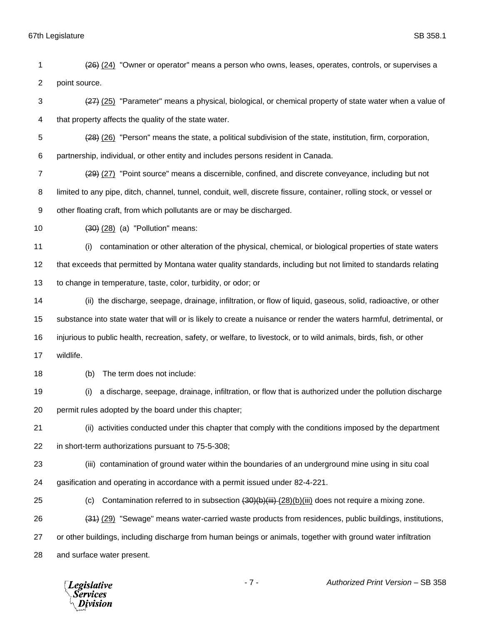point source. 3 (27) (25) "Parameter" means a physical, biological, or chemical property of state water when a value of that property affects the quality of the state water. (28) (26) "Person" means the state, a political subdivision of the state, institution, firm, corporation, partnership, individual, or other entity and includes persons resident in Canada. (29) (27) "Point source" means a discernible, confined, and discrete conveyance, including but not limited to any pipe, ditch, channel, tunnel, conduit, well, discrete fissure, container, rolling stock, or vessel or other floating craft, from which pollutants are or may be discharged. (30) (28) (a) "Pollution" means: (i) contamination or other alteration of the physical, chemical, or biological properties of state waters that exceeds that permitted by Montana water quality standards, including but not limited to standards relating to change in temperature, taste, color, turbidity, or odor; or (ii) the discharge, seepage, drainage, infiltration, or flow of liquid, gaseous, solid, radioactive, or other substance into state water that will or is likely to create a nuisance or render the waters harmful, detrimental, or injurious to public health, recreation, safety, or welfare, to livestock, or to wild animals, birds, fish, or other wildlife. (b) The term does not include: (i) a discharge, seepage, drainage, infiltration, or flow that is authorized under the pollution discharge permit rules adopted by the board under this chapter; (ii) activities conducted under this chapter that comply with the conditions imposed by the department in short-term authorizations pursuant to 75-5-308; (iii) contamination of ground water within the boundaries of an underground mine using in situ coal gasification and operating in accordance with a permit issued under 82-4-221. 25 (c) Contamination referred to in subsection  $(30)(b)(iii)-(28)(b)(iii)$  does not require a mixing zone. (31) (29) "Sewage" means water-carried waste products from residences, public buildings, institutions, or other buildings, including discharge from human beings or animals, together with ground water infiltration and surface water present.- 7 - *Authorized Print Version* – SB 358 **Legislative** Services ivision

1  $(26)$  (24) "Owner or operator" means a person who owns, leases, operates, controls, or supervises a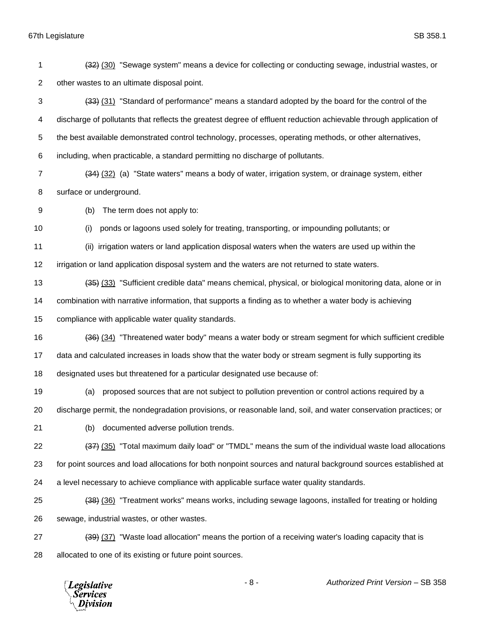1 (32) (30) "Sewage system" means a device for collecting or conducting sewage, industrial wastes, or other wastes to an ultimate disposal point. (33) (31) "Standard of performance" means a standard adopted by the board for the control of the discharge of pollutants that reflects the greatest degree of effluent reduction achievable through application of the best available demonstrated control technology, processes, operating methods, or other alternatives, including, when practicable, a standard permitting no discharge of pollutants. (34) (32) (a) "State waters" means a body of water, irrigation system, or drainage system, either surface or underground. (b) The term does not apply to: (i) ponds or lagoons used solely for treating, transporting, or impounding pollutants; or (ii) irrigation waters or land application disposal waters when the waters are used up within the irrigation or land application disposal system and the waters are not returned to state waters. (35) (33) "Sufficient credible data" means chemical, physical, or biological monitoring data, alone or in combination with narrative information, that supports a finding as to whether a water body is achieving compliance with applicable water quality standards. (36) (34) "Threatened water body" means a water body or stream segment for which sufficient credible data and calculated increases in loads show that the water body or stream segment is fully supporting its designated uses but threatened for a particular designated use because of: (a) proposed sources that are not subject to pollution prevention or control actions required by a discharge permit, the nondegradation provisions, or reasonable land, soil, and water conservation practices; or (b) documented adverse pollution trends. 22 (37) (35) "Total maximum daily load" or "TMDL" means the sum of the individual waste load allocations for point sources and load allocations for both nonpoint sources and natural background sources established at a level necessary to achieve compliance with applicable surface water quality standards. (38) (36) "Treatment works" means works, including sewage lagoons, installed for treating or holding sewage, industrial wastes, or other wastes. 27 (39) (37) "Waste load allocation" means the portion of a receiving water's loading capacity that is allocated to one of its existing or future point sources.

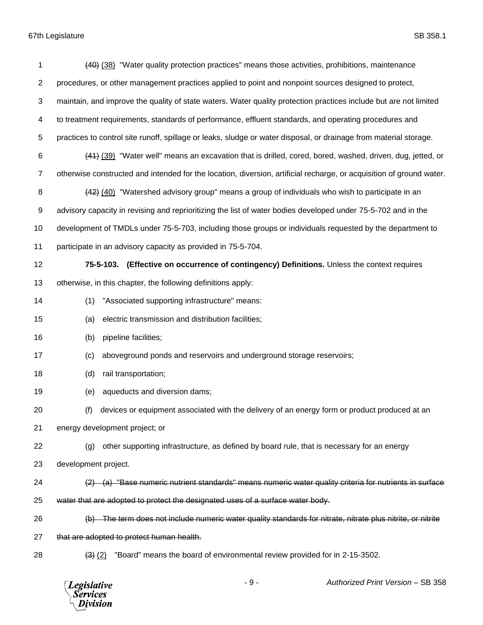| 1              | (40) (38) "Water quality protection practices" means those activities, prohibitions, maintenance                     |  |  |  |
|----------------|----------------------------------------------------------------------------------------------------------------------|--|--|--|
| $\overline{2}$ | procedures, or other management practices applied to point and nonpoint sources designed to protect,                 |  |  |  |
| 3              | maintain, and improve the quality of state waters. Water quality protection practices include but are not limited    |  |  |  |
| 4              | to treatment requirements, standards of performance, effluent standards, and operating procedures and                |  |  |  |
| 5              | practices to control site runoff, spillage or leaks, sludge or water disposal, or drainage from material storage.    |  |  |  |
| 6              | (44) (39) "Water well" means an excavation that is drilled, cored, bored, washed, driven, dug, jetted, or            |  |  |  |
| $\overline{7}$ | otherwise constructed and intended for the location, diversion, artificial recharge, or acquisition of ground water. |  |  |  |
| 8              | (42) (40) "Watershed advisory group" means a group of individuals who wish to participate in an                      |  |  |  |
| 9              | advisory capacity in revising and reprioritizing the list of water bodies developed under 75-5-702 and in the        |  |  |  |
| 10             | development of TMDLs under 75-5-703, including those groups or individuals requested by the department to            |  |  |  |
| 11             | participate in an advisory capacity as provided in 75-5-704.                                                         |  |  |  |
| 12             | 75-5-103. (Effective on occurrence of contingency) Definitions. Unless the context requires                          |  |  |  |
| 13             | otherwise, in this chapter, the following definitions apply:                                                         |  |  |  |
| 14             | (1)<br>"Associated supporting infrastructure" means:                                                                 |  |  |  |
| 15             | electric transmission and distribution facilities;<br>(a)                                                            |  |  |  |
| 16             | pipeline facilities;<br>(b)                                                                                          |  |  |  |
| 17             | aboveground ponds and reservoirs and underground storage reservoirs;<br>(c)                                          |  |  |  |
| 18             | rail transportation;<br>(d)                                                                                          |  |  |  |
| 19             | aqueducts and diversion dams;<br>(e)                                                                                 |  |  |  |
| 20             | (f) devices or equipment associated with the delivery of an energy form or product produced at an                    |  |  |  |
| 21             | energy development project; or                                                                                       |  |  |  |
| 22             | other supporting infrastructure, as defined by board rule, that is necessary for an energy<br>(g)                    |  |  |  |
| 23             | development project.                                                                                                 |  |  |  |
| 24             | (2) (a) "Base numeric nutrient standards" means numeric water quality criteria for nutrients in surface              |  |  |  |
| 25             | water that are adopted to protect the designated uses of a surface water body.                                       |  |  |  |
| 26             | (b) The term does not include numeric water quality standards for nitrate, nitrate plus nitrite, or nitrite          |  |  |  |
| 27             | that are adopted to protect human health.                                                                            |  |  |  |
| 28             | "Board" means the board of environmental review provided for in 2-15-3502.<br>$(3)$ (2)                              |  |  |  |

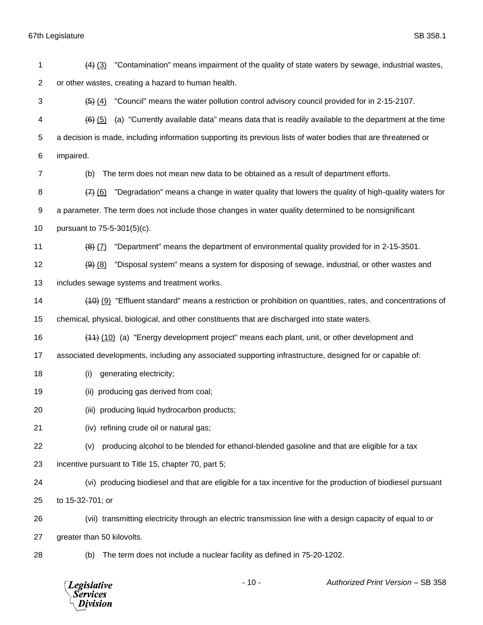*Legislative*<br>Services<br>*Division* 

| 1              | "Contamination" means impairment of the quality of state waters by sewage, industrial wastes,<br>$(4)$ (3)       |  |  |  |
|----------------|------------------------------------------------------------------------------------------------------------------|--|--|--|
| $\overline{c}$ | or other wastes, creating a hazard to human health.                                                              |  |  |  |
| $\sqrt{3}$     | "Council" means the water pollution control advisory council provided for in 2-15-2107.<br>$(5)$ $(4)$           |  |  |  |
| 4              | (a) "Currently available data" means data that is readily available to the department at the time<br>$(6)$ $(5)$ |  |  |  |
| $\,$ 5 $\,$    | a decision is made, including information supporting its previous lists of water bodies that are threatened or   |  |  |  |
| $\,6$          | impaired.                                                                                                        |  |  |  |
| $\overline{7}$ | The term does not mean new data to be obtained as a result of department efforts.<br>(b)                         |  |  |  |
| 8              | "Degradation" means a change in water quality that lowers the quality of high-quality waters for<br>(7)(6)       |  |  |  |
| 9              | a parameter. The term does not include those changes in water quality determined to be nonsignificant            |  |  |  |
| 10             | pursuant to 75-5-301(5)(c).                                                                                      |  |  |  |
| 11             | "Department" means the department of environmental quality provided for in 2-15-3501.<br>(8) (7)                 |  |  |  |
| 12             | "Disposal system" means a system for disposing of sewage, industrial, or other wastes and<br>$(9)$ $(8)$         |  |  |  |
| 13             | includes sewage systems and treatment works.                                                                     |  |  |  |
| 14             | (40) (9) "Effluent standard" means a restriction or prohibition on quantities, rates, and concentrations of      |  |  |  |
| 15             | chemical, physical, biological, and other constituents that are discharged into state waters.                    |  |  |  |
| 16             | (44) (10) (a) "Energy development project" means each plant, unit, or other development and                      |  |  |  |
| 17             | associated developments, including any associated supporting infrastructure, designed for or capable of:         |  |  |  |
| 18             | generating electricity;<br>(i)                                                                                   |  |  |  |
| 19             | (ii) producing gas derived from coal;                                                                            |  |  |  |
| 20             | (iii) producing liquid hydrocarbon products;                                                                     |  |  |  |
| 21             | (iv) refining crude oil or natural gas;                                                                          |  |  |  |
| 22             | producing alcohol to be blended for ethanol-blended gasoline and that are eligible for a tax<br>(v)              |  |  |  |
| 23             | incentive pursuant to Title 15, chapter 70, part 5;                                                              |  |  |  |
| 24             | (vi) producing biodiesel and that are eligible for a tax incentive for the production of biodiesel pursuant      |  |  |  |
| 25             | to 15-32-701; or                                                                                                 |  |  |  |
| 26             | (vii) transmitting electricity through an electric transmission line with a design capacity of equal to or       |  |  |  |
| 27             | greater than 50 kilovolts.                                                                                       |  |  |  |
| 28             | The term does not include a nuclear facility as defined in 75-20-1202.<br>(b)                                    |  |  |  |
|                |                                                                                                                  |  |  |  |

- 10 - *Authorized Print Version* – SB 358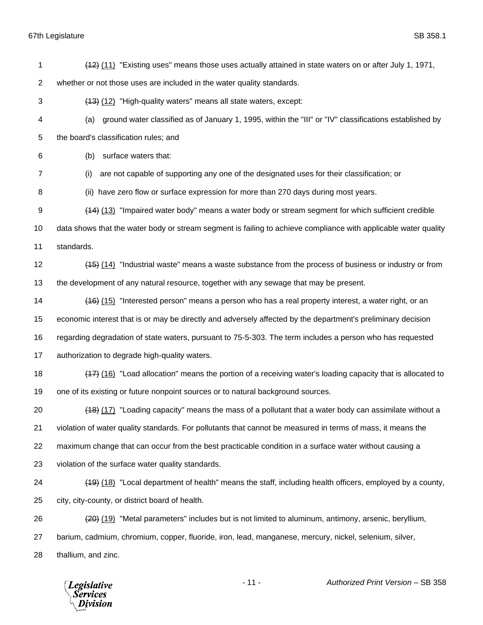| 1                | (11) "Existing uses" means those uses actually attained in state waters on or after July 1, 1971,               |  |  |  |
|------------------|-----------------------------------------------------------------------------------------------------------------|--|--|--|
| 2                | whether or not those uses are included in the water quality standards.                                          |  |  |  |
| 3                | (13) (12) "High-quality waters" means all state waters, except:                                                 |  |  |  |
| 4                | ground water classified as of January 1, 1995, within the "III" or "IV" classifications established by<br>(a)   |  |  |  |
| 5                | the board's classification rules; and                                                                           |  |  |  |
| 6                | surface waters that:<br>(b)                                                                                     |  |  |  |
| 7                | are not capable of supporting any one of the designated uses for their classification; or<br>(i)                |  |  |  |
| 8                | (ii) have zero flow or surface expression for more than 270 days during most years.                             |  |  |  |
| $\boldsymbol{9}$ | (14) (13) "Impaired water body" means a water body or stream segment for which sufficient credible              |  |  |  |
| 10               | data shows that the water body or stream segment is failing to achieve compliance with applicable water quality |  |  |  |
| 11               | standards.                                                                                                      |  |  |  |
| 12               | (14) "Industrial waste" means a waste substance from the process of business or industry or from                |  |  |  |
| 13               | the development of any natural resource, together with any sewage that may be present.                          |  |  |  |
| 14               | (15) "Interested person" means a person who has a real property interest, a water right, or an                  |  |  |  |
| 15               | economic interest that is or may be directly and adversely affected by the department's preliminary decision    |  |  |  |
| 16               | regarding degradation of state waters, pursuant to 75-5-303. The term includes a person who has requested       |  |  |  |
| 17               | authorization to degrade high-quality waters.                                                                   |  |  |  |
| 18               | (47) (16) "Load allocation" means the portion of a receiving water's loading capacity that is allocated to      |  |  |  |
| 19               | one of its existing or future nonpoint sources or to natural background sources.                                |  |  |  |
| 20               | (17) "Loading capacity" means the mass of a pollutant that a water body can assimilate without a                |  |  |  |
| 21               | violation of water quality standards. For pollutants that cannot be measured in terms of mass, it means the     |  |  |  |
| 22               | maximum change that can occur from the best practicable condition in a surface water without causing a          |  |  |  |
| 23               | violation of the surface water quality standards.                                                               |  |  |  |
| 24               | (18) "Local department of health" means the staff, including health officers, employed by a county,             |  |  |  |
| 25               | city, city-county, or district board of health.                                                                 |  |  |  |
| 26               | (20) (19) "Metal parameters" includes but is not limited to aluminum, antimony, arsenic, beryllium,             |  |  |  |
| 27               | barium, cadmium, chromium, copper, fluoride, iron, lead, manganese, mercury, nickel, selenium, silver,          |  |  |  |
| 28               | thallium, and zinc.                                                                                             |  |  |  |
|                  |                                                                                                                 |  |  |  |

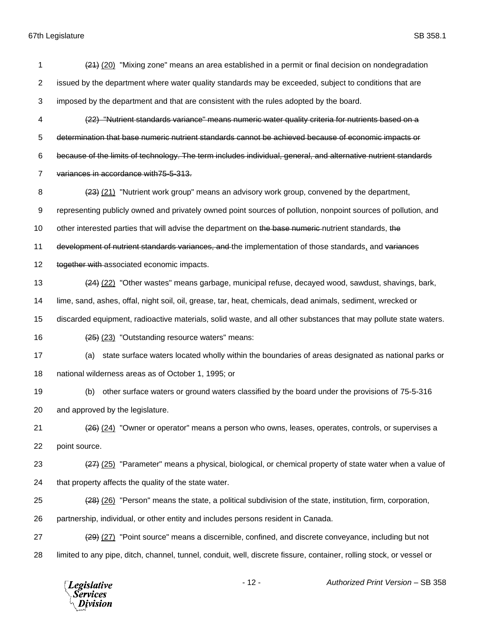| issued by the department where water quality standards may be exceeded, subject to conditions that are<br>2<br>imposed by the department and that are consistent with the rules adopted by the board.<br>3<br>(22) "Nutrient standards variance" means numeric water quality criteria for nutrients based on a<br>4<br>5<br>determination that base numeric nutrient standards cannot be achieved because of economic impacts or<br>because of the limits of technology. The term includes individual, general, and alternative nutrient standards<br>6<br>7<br>variances in accordance with 75-5-313.<br>8<br>(23) (21) "Nutrient work group" means an advisory work group, convened by the department,<br>9<br>other interested parties that will advise the department on the base numeric nutrient standards, the<br>10<br>development of nutrient standards variances, and the implementation of those standards, and variances<br>11<br>12<br>together with associated economic impacts.<br>13<br>(22) "Other wastes" means garbage, municipal refuse, decayed wood, sawdust, shavings, bark,<br>lime, sand, ashes, offal, night soil, oil, grease, tar, heat, chemicals, dead animals, sediment, wrecked or<br>14<br>15<br>(25) (23) "Outstanding resource waters" means:<br>16<br>17<br>(a)<br>18<br>national wilderness areas as of October 1, 1995; or<br>19<br>other surface waters or ground waters classified by the board under the provisions of 75-5-316<br>(b)<br>20<br>and approved by the legislature.<br>21<br>(24) "Owner or operator" means a person who owns, leases, operates, controls, or supervises a<br>point source.<br>22<br>23<br>24<br>that property affects the quality of the state water.<br>(28) (26) "Person" means the state, a political subdivision of the state, institution, firm, corporation,<br>25 | 1  | (24) (20) "Mixing zone" means an area established in a permit or final decision on nondegradation                |  |  |
|-------------------------------------------------------------------------------------------------------------------------------------------------------------------------------------------------------------------------------------------------------------------------------------------------------------------------------------------------------------------------------------------------------------------------------------------------------------------------------------------------------------------------------------------------------------------------------------------------------------------------------------------------------------------------------------------------------------------------------------------------------------------------------------------------------------------------------------------------------------------------------------------------------------------------------------------------------------------------------------------------------------------------------------------------------------------------------------------------------------------------------------------------------------------------------------------------------------------------------------------------------------------------------------------------------------------------------------------------------------------------------------------------------------------------------------------------------------------------------------------------------------------------------------------------------------------------------------------------------------------------------------------------------------------------------------------------------------------------------------------------------------------------------------------------------------------------------------------------|----|------------------------------------------------------------------------------------------------------------------|--|--|
|                                                                                                                                                                                                                                                                                                                                                                                                                                                                                                                                                                                                                                                                                                                                                                                                                                                                                                                                                                                                                                                                                                                                                                                                                                                                                                                                                                                                                                                                                                                                                                                                                                                                                                                                                                                                                                                 |    |                                                                                                                  |  |  |
|                                                                                                                                                                                                                                                                                                                                                                                                                                                                                                                                                                                                                                                                                                                                                                                                                                                                                                                                                                                                                                                                                                                                                                                                                                                                                                                                                                                                                                                                                                                                                                                                                                                                                                                                                                                                                                                 |    |                                                                                                                  |  |  |
|                                                                                                                                                                                                                                                                                                                                                                                                                                                                                                                                                                                                                                                                                                                                                                                                                                                                                                                                                                                                                                                                                                                                                                                                                                                                                                                                                                                                                                                                                                                                                                                                                                                                                                                                                                                                                                                 |    |                                                                                                                  |  |  |
|                                                                                                                                                                                                                                                                                                                                                                                                                                                                                                                                                                                                                                                                                                                                                                                                                                                                                                                                                                                                                                                                                                                                                                                                                                                                                                                                                                                                                                                                                                                                                                                                                                                                                                                                                                                                                                                 |    |                                                                                                                  |  |  |
|                                                                                                                                                                                                                                                                                                                                                                                                                                                                                                                                                                                                                                                                                                                                                                                                                                                                                                                                                                                                                                                                                                                                                                                                                                                                                                                                                                                                                                                                                                                                                                                                                                                                                                                                                                                                                                                 |    |                                                                                                                  |  |  |
|                                                                                                                                                                                                                                                                                                                                                                                                                                                                                                                                                                                                                                                                                                                                                                                                                                                                                                                                                                                                                                                                                                                                                                                                                                                                                                                                                                                                                                                                                                                                                                                                                                                                                                                                                                                                                                                 |    |                                                                                                                  |  |  |
|                                                                                                                                                                                                                                                                                                                                                                                                                                                                                                                                                                                                                                                                                                                                                                                                                                                                                                                                                                                                                                                                                                                                                                                                                                                                                                                                                                                                                                                                                                                                                                                                                                                                                                                                                                                                                                                 |    |                                                                                                                  |  |  |
|                                                                                                                                                                                                                                                                                                                                                                                                                                                                                                                                                                                                                                                                                                                                                                                                                                                                                                                                                                                                                                                                                                                                                                                                                                                                                                                                                                                                                                                                                                                                                                                                                                                                                                                                                                                                                                                 |    | representing publicly owned and privately owned point sources of pollution, nonpoint sources of pollution, and   |  |  |
|                                                                                                                                                                                                                                                                                                                                                                                                                                                                                                                                                                                                                                                                                                                                                                                                                                                                                                                                                                                                                                                                                                                                                                                                                                                                                                                                                                                                                                                                                                                                                                                                                                                                                                                                                                                                                                                 |    |                                                                                                                  |  |  |
|                                                                                                                                                                                                                                                                                                                                                                                                                                                                                                                                                                                                                                                                                                                                                                                                                                                                                                                                                                                                                                                                                                                                                                                                                                                                                                                                                                                                                                                                                                                                                                                                                                                                                                                                                                                                                                                 |    |                                                                                                                  |  |  |
|                                                                                                                                                                                                                                                                                                                                                                                                                                                                                                                                                                                                                                                                                                                                                                                                                                                                                                                                                                                                                                                                                                                                                                                                                                                                                                                                                                                                                                                                                                                                                                                                                                                                                                                                                                                                                                                 |    |                                                                                                                  |  |  |
|                                                                                                                                                                                                                                                                                                                                                                                                                                                                                                                                                                                                                                                                                                                                                                                                                                                                                                                                                                                                                                                                                                                                                                                                                                                                                                                                                                                                                                                                                                                                                                                                                                                                                                                                                                                                                                                 |    |                                                                                                                  |  |  |
|                                                                                                                                                                                                                                                                                                                                                                                                                                                                                                                                                                                                                                                                                                                                                                                                                                                                                                                                                                                                                                                                                                                                                                                                                                                                                                                                                                                                                                                                                                                                                                                                                                                                                                                                                                                                                                                 |    |                                                                                                                  |  |  |
|                                                                                                                                                                                                                                                                                                                                                                                                                                                                                                                                                                                                                                                                                                                                                                                                                                                                                                                                                                                                                                                                                                                                                                                                                                                                                                                                                                                                                                                                                                                                                                                                                                                                                                                                                                                                                                                 |    | discarded equipment, radioactive materials, solid waste, and all other substances that may pollute state waters. |  |  |
|                                                                                                                                                                                                                                                                                                                                                                                                                                                                                                                                                                                                                                                                                                                                                                                                                                                                                                                                                                                                                                                                                                                                                                                                                                                                                                                                                                                                                                                                                                                                                                                                                                                                                                                                                                                                                                                 |    |                                                                                                                  |  |  |
|                                                                                                                                                                                                                                                                                                                                                                                                                                                                                                                                                                                                                                                                                                                                                                                                                                                                                                                                                                                                                                                                                                                                                                                                                                                                                                                                                                                                                                                                                                                                                                                                                                                                                                                                                                                                                                                 |    | state surface waters located wholly within the boundaries of areas designated as national parks or               |  |  |
|                                                                                                                                                                                                                                                                                                                                                                                                                                                                                                                                                                                                                                                                                                                                                                                                                                                                                                                                                                                                                                                                                                                                                                                                                                                                                                                                                                                                                                                                                                                                                                                                                                                                                                                                                                                                                                                 |    |                                                                                                                  |  |  |
|                                                                                                                                                                                                                                                                                                                                                                                                                                                                                                                                                                                                                                                                                                                                                                                                                                                                                                                                                                                                                                                                                                                                                                                                                                                                                                                                                                                                                                                                                                                                                                                                                                                                                                                                                                                                                                                 |    |                                                                                                                  |  |  |
|                                                                                                                                                                                                                                                                                                                                                                                                                                                                                                                                                                                                                                                                                                                                                                                                                                                                                                                                                                                                                                                                                                                                                                                                                                                                                                                                                                                                                                                                                                                                                                                                                                                                                                                                                                                                                                                 |    |                                                                                                                  |  |  |
|                                                                                                                                                                                                                                                                                                                                                                                                                                                                                                                                                                                                                                                                                                                                                                                                                                                                                                                                                                                                                                                                                                                                                                                                                                                                                                                                                                                                                                                                                                                                                                                                                                                                                                                                                                                                                                                 |    |                                                                                                                  |  |  |
|                                                                                                                                                                                                                                                                                                                                                                                                                                                                                                                                                                                                                                                                                                                                                                                                                                                                                                                                                                                                                                                                                                                                                                                                                                                                                                                                                                                                                                                                                                                                                                                                                                                                                                                                                                                                                                                 |    |                                                                                                                  |  |  |
|                                                                                                                                                                                                                                                                                                                                                                                                                                                                                                                                                                                                                                                                                                                                                                                                                                                                                                                                                                                                                                                                                                                                                                                                                                                                                                                                                                                                                                                                                                                                                                                                                                                                                                                                                                                                                                                 |    | (27) (25) "Parameter" means a physical, biological, or chemical property of state water when a value of          |  |  |
|                                                                                                                                                                                                                                                                                                                                                                                                                                                                                                                                                                                                                                                                                                                                                                                                                                                                                                                                                                                                                                                                                                                                                                                                                                                                                                                                                                                                                                                                                                                                                                                                                                                                                                                                                                                                                                                 |    |                                                                                                                  |  |  |
|                                                                                                                                                                                                                                                                                                                                                                                                                                                                                                                                                                                                                                                                                                                                                                                                                                                                                                                                                                                                                                                                                                                                                                                                                                                                                                                                                                                                                                                                                                                                                                                                                                                                                                                                                                                                                                                 |    |                                                                                                                  |  |  |
| partnership, individual, or other entity and includes persons resident in Canada.                                                                                                                                                                                                                                                                                                                                                                                                                                                                                                                                                                                                                                                                                                                                                                                                                                                                                                                                                                                                                                                                                                                                                                                                                                                                                                                                                                                                                                                                                                                                                                                                                                                                                                                                                               | 26 |                                                                                                                  |  |  |
| (29) (27) "Point source" means a discernible, confined, and discrete conveyance, including but not<br>27                                                                                                                                                                                                                                                                                                                                                                                                                                                                                                                                                                                                                                                                                                                                                                                                                                                                                                                                                                                                                                                                                                                                                                                                                                                                                                                                                                                                                                                                                                                                                                                                                                                                                                                                        |    |                                                                                                                  |  |  |
| limited to any pipe, ditch, channel, tunnel, conduit, well, discrete fissure, container, rolling stock, or vessel or<br>28                                                                                                                                                                                                                                                                                                                                                                                                                                                                                                                                                                                                                                                                                                                                                                                                                                                                                                                                                                                                                                                                                                                                                                                                                                                                                                                                                                                                                                                                                                                                                                                                                                                                                                                      |    |                                                                                                                  |  |  |

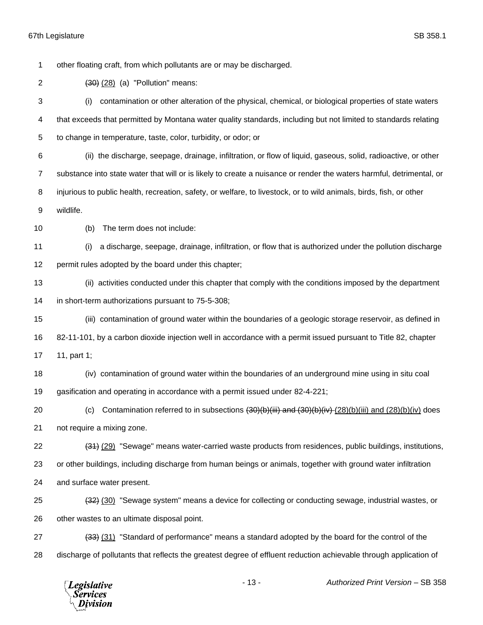other floating craft, from which pollutants are or may be discharged.

(30) (28) (a) "Pollution" means:

 (i) contamination or other alteration of the physical, chemical, or biological properties of state waters that exceeds that permitted by Montana water quality standards, including but not limited to standards relating to change in temperature, taste, color, turbidity, or odor; or

 (ii) the discharge, seepage, drainage, infiltration, or flow of liquid, gaseous, solid, radioactive, or other substance into state water that will or is likely to create a nuisance or render the waters harmful, detrimental, or injurious to public health, recreation, safety, or welfare, to livestock, or to wild animals, birds, fish, or other

wildlife.

(b) The term does not include:

 (i) a discharge, seepage, drainage, infiltration, or flow that is authorized under the pollution discharge 12 permit rules adopted by the board under this chapter;

 (ii) activities conducted under this chapter that comply with the conditions imposed by the department in short-term authorizations pursuant to 75-5-308;

 (iii) contamination of ground water within the boundaries of a geologic storage reservoir, as defined in 82-11-101, by a carbon dioxide injection well in accordance with a permit issued pursuant to Title 82, chapter 11, part 1;

 (iv) contamination of ground water within the boundaries of an underground mine using in situ coal gasification and operating in accordance with a permit issued under 82-4-221;

20 (c) Contamination referred to in subsections  $\left(30\right)\left(\frac{1}{10}\right)$  and  $\left(30\right)\left(\frac{1}{10}\right)$  (b) (iii) and  $\left(28\right)\left(\frac{1}{10}\right)$  does not require a mixing zone.

22 (31) (29) "Sewage" means water-carried waste products from residences, public buildings, institutions, or other buildings, including discharge from human beings or animals, together with ground water infiltration and surface water present.

25 (32) (30) "Sewage system" means a device for collecting or conducting sewage, industrial wastes, or other wastes to an ultimate disposal point.

 (33) (31) "Standard of performance" means a standard adopted by the board for the control of the discharge of pollutants that reflects the greatest degree of effluent reduction achievable through application of

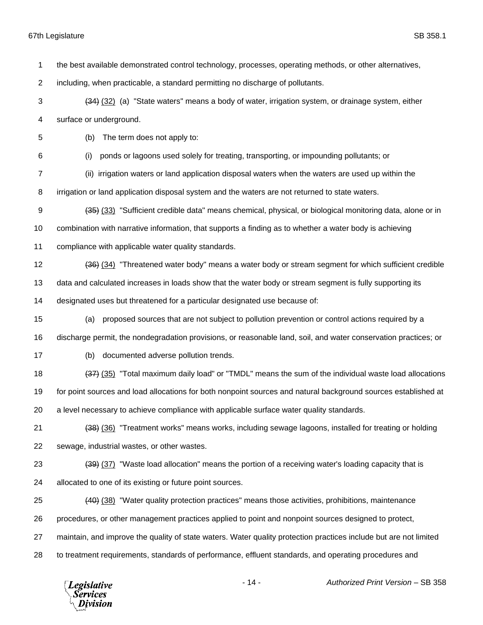the best available demonstrated control technology, processes, operating methods, or other alternatives,

including, when practicable, a standard permitting no discharge of pollutants.

 (34) (32) (a) "State waters" means a body of water, irrigation system, or drainage system, either surface or underground.

(b) The term does not apply to:

(i) ponds or lagoons used solely for treating, transporting, or impounding pollutants; or

 (ii) irrigation waters or land application disposal waters when the waters are used up within the irrigation or land application disposal system and the waters are not returned to state waters.

(35) (33) "Sufficient credible data" means chemical, physical, or biological monitoring data, alone or in

combination with narrative information, that supports a finding as to whether a water body is achieving

compliance with applicable water quality standards.

12 (36) (34) "Threatened water body" means a water body or stream segment for which sufficient credible data and calculated increases in loads show that the water body or stream segment is fully supporting its designated uses but threatened for a particular designated use because of:

 (a) proposed sources that are not subject to pollution prevention or control actions required by a discharge permit, the nondegradation provisions, or reasonable land, soil, and water conservation practices; or

(b) documented adverse pollution trends.

18 (37) (35) "Total maximum daily load" or "TMDL" means the sum of the individual waste load allocations for point sources and load allocations for both nonpoint sources and natural background sources established at a level necessary to achieve compliance with applicable surface water quality standards.

 (38) (36) "Treatment works" means works, including sewage lagoons, installed for treating or holding sewage, industrial wastes, or other wastes.

23 (39) (37) "Waste load allocation" means the portion of a receiving water's loading capacity that is allocated to one of its existing or future point sources.

 (40) (38) "Water quality protection practices" means those activities, prohibitions, maintenance procedures, or other management practices applied to point and nonpoint sources designed to protect,

maintain, and improve the quality of state waters. Water quality protection practices include but are not limited

to treatment requirements, standards of performance, effluent standards, and operating procedures and

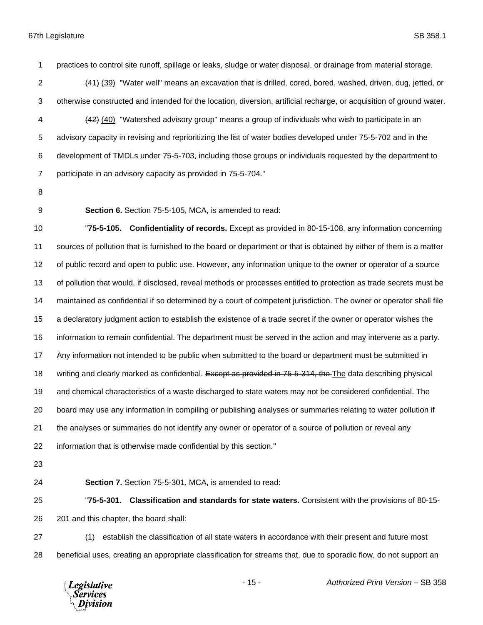practices to control site runoff, spillage or leaks, sludge or water disposal, or drainage from material storage.

 (41) (39) "Water well" means an excavation that is drilled, cored, bored, washed, driven, dug, jetted, or otherwise constructed and intended for the location, diversion, artificial recharge, or acquisition of ground water. (42) (40) "Watershed advisory group" means a group of individuals who wish to participate in an advisory capacity in revising and reprioritizing the list of water bodies developed under 75-5-702 and in the development of TMDLs under 75-5-703, including those groups or individuals requested by the department to participate in an advisory capacity as provided in 75-5-704."

- 
- 

**Section 6.** Section 75-5-105, MCA, is amended to read:

 "**75-5-105. Confidentiality of records.** Except as provided in 80-15-108, any information concerning sources of pollution that is furnished to the board or department or that is obtained by either of them is a matter of public record and open to public use. However, any information unique to the owner or operator of a source of pollution that would, if disclosed, reveal methods or processes entitled to protection as trade secrets must be maintained as confidential if so determined by a court of competent jurisdiction. The owner or operator shall file a declaratory judgment action to establish the existence of a trade secret if the owner or operator wishes the information to remain confidential. The department must be served in the action and may intervene as a party. Any information not intended to be public when submitted to the board or department must be submitted in 18 writing and clearly marked as confidential. Except as provided in 75-5-314, the The data describing physical and chemical characteristics of a waste discharged to state waters may not be considered confidential. The board may use any information in compiling or publishing analyses or summaries relating to water pollution if the analyses or summaries do not identify any owner or operator of a source of pollution or reveal any information that is otherwise made confidential by this section."

- 
- 

**Section 7.** Section 75-5-301, MCA, is amended to read:

 "**75-5-301. Classification and standards for state waters.** Consistent with the provisions of 80-15- 201 and this chapter, the board shall:

 (1) establish the classification of all state waters in accordance with their present and future most beneficial uses, creating an appropriate classification for streams that, due to sporadic flow, do not support an

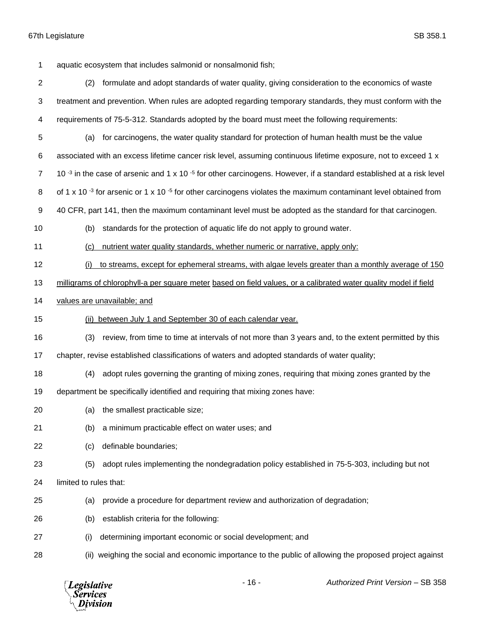aquatic ecosystem that includes salmonid or nonsalmonid fish;

- (2) formulate and adopt standards of water quality, giving consideration to the economics of waste treatment and prevention. When rules are adopted regarding temporary standards, they must conform with the requirements of 75-5-312. Standards adopted by the board must meet the following requirements:
- (a) for carcinogens, the water quality standard for protection of human health must be the value
- associated with an excess lifetime cancer risk level, assuming continuous lifetime exposure, not to exceed 1 x
- 7 10<sup>-3</sup> in the case of arsenic and 1 x 10<sup>-5</sup> for other carcinogens. However, if a standard established at a risk level
- 8 of 1 x 10<sup>-3</sup> for arsenic or 1 x 10<sup>-5</sup> for other carcinogens violates the maximum contaminant level obtained from
- 40 CFR, part 141, then the maximum contaminant level must be adopted as the standard for that carcinogen.
- (b) standards for the protection of aquatic life do not apply to ground water.
- (c) nutrient water quality standards, whether numeric or narrative, apply only:
- (i) to streams, except for ephemeral streams, with algae levels greater than a monthly average of 150
- milligrams of chlorophyll-a per square meter based on field values, or a calibrated water quality model if field
- values are unavailable; and
- (ii) between July 1 and September 30 of each calendar year.
- (3) review, from time to time at intervals of not more than 3 years and, to the extent permitted by this
- chapter, revise established classifications of waters and adopted standards of water quality;
- (4) adopt rules governing the granting of mixing zones, requiring that mixing zones granted by the
- department be specifically identified and requiring that mixing zones have:
- (a) the smallest practicable size;
- (b) a minimum practicable effect on water uses; and
- (c) definable boundaries;
- (5) adopt rules implementing the nondegradation policy established in 75-5-303, including but not

limited to rules that:

- (a) provide a procedure for department review and authorization of degradation;
- (b) establish criteria for the following:
- (i) determining important economic or social development; and
- (ii) weighing the social and economic importance to the public of allowing the proposed project against

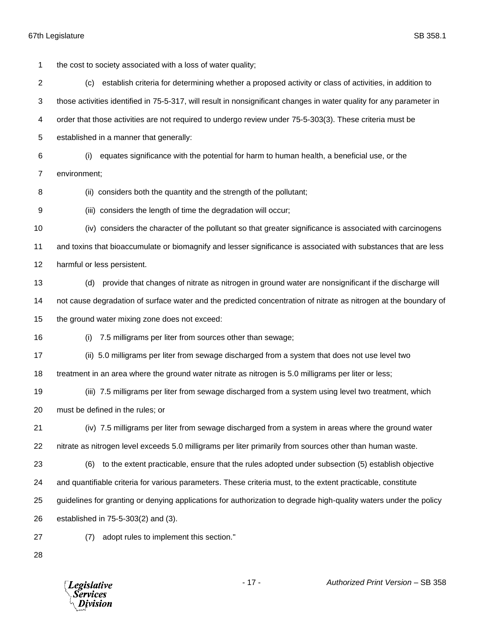the cost to society associated with a loss of water quality; (c) establish criteria for determining whether a proposed activity or class of activities, in addition to those activities identified in 75-5-317, will result in nonsignificant changes in water quality for any parameter in order that those activities are not required to undergo review under 75-5-303(3). These criteria must be established in a manner that generally: (i) equates significance with the potential for harm to human health, a beneficial use, or the environment; (ii) considers both the quantity and the strength of the pollutant; (iii) considers the length of time the degradation will occur; (iv) considers the character of the pollutant so that greater significance is associated with carcinogens and toxins that bioaccumulate or biomagnify and lesser significance is associated with substances that are less harmful or less persistent. (d) provide that changes of nitrate as nitrogen in ground water are nonsignificant if the discharge will not cause degradation of surface water and the predicted concentration of nitrate as nitrogen at the boundary of the ground water mixing zone does not exceed: (i) 7.5 milligrams per liter from sources other than sewage; (ii) 5.0 milligrams per liter from sewage discharged from a system that does not use level two treatment in an area where the ground water nitrate as nitrogen is 5.0 milligrams per liter or less; (iii) 7.5 milligrams per liter from sewage discharged from a system using level two treatment, which must be defined in the rules; or (iv) 7.5 milligrams per liter from sewage discharged from a system in areas where the ground water nitrate as nitrogen level exceeds 5.0 milligrams per liter primarily from sources other than human waste. (6) to the extent practicable, ensure that the rules adopted under subsection (5) establish objective and quantifiable criteria for various parameters. These criteria must, to the extent practicable, constitute guidelines for granting or denying applications for authorization to degrade high-quality waters under the policy established in 75-5-303(2) and (3). (7) adopt rules to implement this section." 

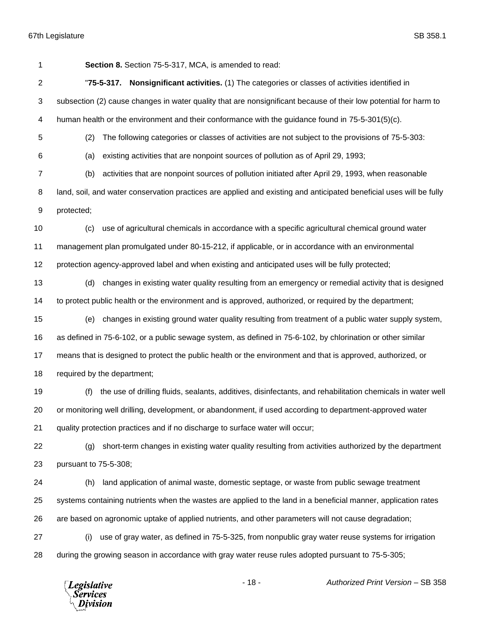**Section 8.** Section 75-5-317, MCA, is amended to read: "**75-5-317. Nonsignificant activities.** (1) The categories or classes of activities identified in subsection (2) cause changes in water quality that are nonsignificant because of their low potential for harm to human health or the environment and their conformance with the guidance found in 75-5-301(5)(c). (2) The following categories or classes of activities are not subject to the provisions of 75-5-303: (a) existing activities that are nonpoint sources of pollution as of April 29, 1993; (b) activities that are nonpoint sources of pollution initiated after April 29, 1993, when reasonable 8 land, soil, and water conservation practices are applied and existing and anticipated beneficial uses will be fully protected; (c) use of agricultural chemicals in accordance with a specific agricultural chemical ground water management plan promulgated under 80-15-212, if applicable, or in accordance with an environmental protection agency-approved label and when existing and anticipated uses will be fully protected; (d) changes in existing water quality resulting from an emergency or remedial activity that is designed to protect public health or the environment and is approved, authorized, or required by the department; (e) changes in existing ground water quality resulting from treatment of a public water supply system, as defined in 75-6-102, or a public sewage system, as defined in 75-6-102, by chlorination or other similar means that is designed to protect the public health or the environment and that is approved, authorized, or required by the department; (f) the use of drilling fluids, sealants, additives, disinfectants, and rehabilitation chemicals in water well or monitoring well drilling, development, or abandonment, if used according to department-approved water quality protection practices and if no discharge to surface water will occur; (g) short-term changes in existing water quality resulting from activities authorized by the department pursuant to 75-5-308; (h) land application of animal waste, domestic septage, or waste from public sewage treatment systems containing nutrients when the wastes are applied to the land in a beneficial manner, application rates are based on agronomic uptake of applied nutrients, and other parameters will not cause degradation; (i) use of gray water, as defined in 75-5-325, from nonpublic gray water reuse systems for irrigation during the growing season in accordance with gray water reuse rules adopted pursuant to 75-5-305;

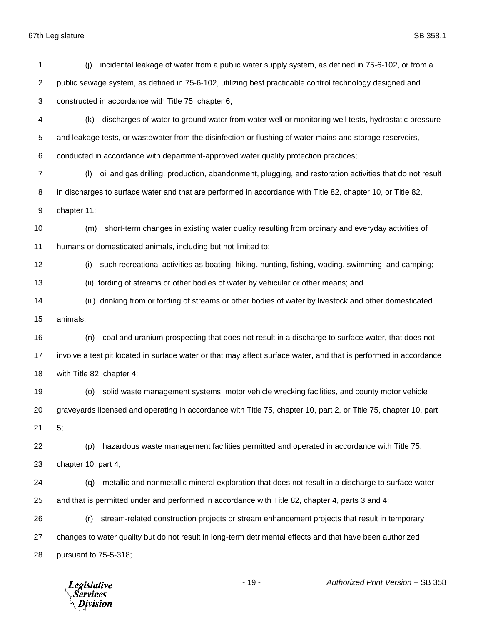| 1              | incidental leakage of water from a public water supply system, as defined in 75-6-102, or from a<br>(i)           |  |  |
|----------------|-------------------------------------------------------------------------------------------------------------------|--|--|
| 2              | public sewage system, as defined in 75-6-102, utilizing best practicable control technology designed and          |  |  |
| 3              | constructed in accordance with Title 75, chapter 6;                                                               |  |  |
| 4              | discharges of water to ground water from water well or monitoring well tests, hydrostatic pressure<br>(k)         |  |  |
| 5              | and leakage tests, or wastewater from the disinfection or flushing of water mains and storage reservoirs,         |  |  |
| 6              | conducted in accordance with department-approved water quality protection practices;                              |  |  |
| $\overline{7}$ | oil and gas drilling, production, abandonment, plugging, and restoration activities that do not result<br>(1)     |  |  |
| 8              | in discharges to surface water and that are performed in accordance with Title 82, chapter 10, or Title 82,       |  |  |
| 9              | chapter 11;                                                                                                       |  |  |
| 10             | short-term changes in existing water quality resulting from ordinary and everyday activities of<br>(m)            |  |  |
| 11             | humans or domesticated animals, including but not limited to:                                                     |  |  |
| 12             | such recreational activities as boating, hiking, hunting, fishing, wading, swimming, and camping;<br>(i)          |  |  |
| 13             | fording of streams or other bodies of water by vehicular or other means; and<br>(ii)                              |  |  |
| 14             | drinking from or fording of streams or other bodies of water by livestock and other domesticated<br>(iii)         |  |  |
| 15             | animals;                                                                                                          |  |  |
| 16             | coal and uranium prospecting that does not result in a discharge to surface water, that does not<br>(n)           |  |  |
| 17             | involve a test pit located in surface water or that may affect surface water, and that is performed in accordance |  |  |
| 18             | with Title 82, chapter 4;                                                                                         |  |  |
| 19             | solid waste management systems, motor vehicle wrecking facilities, and county motor vehicle<br>(O)                |  |  |
| 20             | graveyards licensed and operating in accordance with Title 75, chapter 10, part 2, or Title 75, chapter 10, part  |  |  |
| 21             | 5;                                                                                                                |  |  |
| 22             | hazardous waste management facilities permitted and operated in accordance with Title 75,<br>(p)                  |  |  |
| 23             | chapter 10, part 4;                                                                                               |  |  |
| 24             | metallic and nonmetallic mineral exploration that does not result in a discharge to surface water<br>(q)          |  |  |
| 25             | and that is permitted under and performed in accordance with Title 82, chapter 4, parts 3 and 4;                  |  |  |
| 26             | stream-related construction projects or stream enhancement projects that result in temporary<br>(r)               |  |  |
| 27             | changes to water quality but do not result in long-term detrimental effects and that have been authorized         |  |  |
| 28             | pursuant to 75-5-318;                                                                                             |  |  |
|                |                                                                                                                   |  |  |

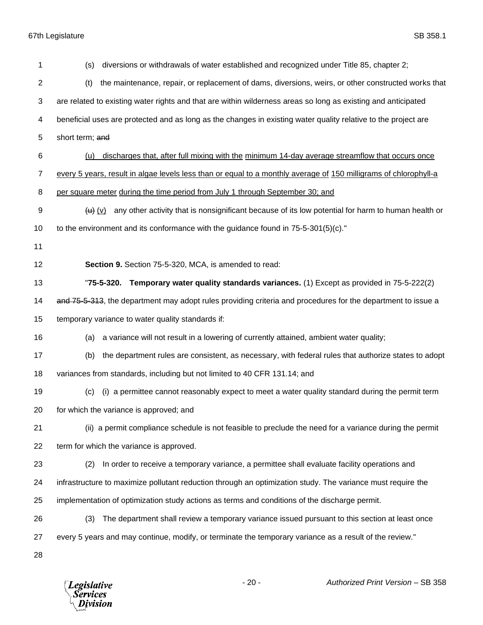| $\overline{c}$<br>(t)<br>3<br>are related to existing water rights and that are within wilderness areas so long as existing and anticipated<br>4<br>5<br>short term; and<br>6<br>(u)<br>$\overline{7}$<br>8<br>per square meter during the time period from July 1 through September 30; and<br>9<br>10<br>to the environment and its conformance with the guidance found in $75-5-301(5)(c)$ ."<br>11<br>12<br>Section 9. Section 75-5-320, MCA, is amended to read:<br>13<br>14<br>15<br>temporary variance to water quality standards if:<br>16<br>a variance will not result in a lowering of currently attained, ambient water quality;<br>(a)<br>17<br>(b)<br>18<br>variances from standards, including but not limited to 40 CFR 131.14; and<br>19<br>(c)<br>20<br>for which the variance is approved; and<br>21<br>22<br>term for which the variance is approved.<br>23<br>In order to receive a temporary variance, a permittee shall evaluate facility operations and<br>(2)<br>24<br>25<br>implementation of optimization study actions as terms and conditions of the discharge permit.<br>26<br>(3)<br>27<br>every 5 years and may continue, modify, or terminate the temporary variance as a result of the review." | 1 | diversions or withdrawals of water established and recognized under Title 85, chapter 2;<br>(s)                         |  |  |  |
|-----------------------------------------------------------------------------------------------------------------------------------------------------------------------------------------------------------------------------------------------------------------------------------------------------------------------------------------------------------------------------------------------------------------------------------------------------------------------------------------------------------------------------------------------------------------------------------------------------------------------------------------------------------------------------------------------------------------------------------------------------------------------------------------------------------------------------------------------------------------------------------------------------------------------------------------------------------------------------------------------------------------------------------------------------------------------------------------------------------------------------------------------------------------------------------------------------------------------------------|---|-------------------------------------------------------------------------------------------------------------------------|--|--|--|
|                                                                                                                                                                                                                                                                                                                                                                                                                                                                                                                                                                                                                                                                                                                                                                                                                                                                                                                                                                                                                                                                                                                                                                                                                                   |   | the maintenance, repair, or replacement of dams, diversions, weirs, or other constructed works that                     |  |  |  |
|                                                                                                                                                                                                                                                                                                                                                                                                                                                                                                                                                                                                                                                                                                                                                                                                                                                                                                                                                                                                                                                                                                                                                                                                                                   |   |                                                                                                                         |  |  |  |
|                                                                                                                                                                                                                                                                                                                                                                                                                                                                                                                                                                                                                                                                                                                                                                                                                                                                                                                                                                                                                                                                                                                                                                                                                                   |   | beneficial uses are protected and as long as the changes in existing water quality relative to the project are          |  |  |  |
|                                                                                                                                                                                                                                                                                                                                                                                                                                                                                                                                                                                                                                                                                                                                                                                                                                                                                                                                                                                                                                                                                                                                                                                                                                   |   |                                                                                                                         |  |  |  |
|                                                                                                                                                                                                                                                                                                                                                                                                                                                                                                                                                                                                                                                                                                                                                                                                                                                                                                                                                                                                                                                                                                                                                                                                                                   |   | discharges that, after full mixing with the minimum 14-day average streamflow that occurs once                          |  |  |  |
|                                                                                                                                                                                                                                                                                                                                                                                                                                                                                                                                                                                                                                                                                                                                                                                                                                                                                                                                                                                                                                                                                                                                                                                                                                   |   | every 5 years, result in algae levels less than or equal to a monthly average of 150 milligrams of chlorophyll-a        |  |  |  |
|                                                                                                                                                                                                                                                                                                                                                                                                                                                                                                                                                                                                                                                                                                                                                                                                                                                                                                                                                                                                                                                                                                                                                                                                                                   |   |                                                                                                                         |  |  |  |
|                                                                                                                                                                                                                                                                                                                                                                                                                                                                                                                                                                                                                                                                                                                                                                                                                                                                                                                                                                                                                                                                                                                                                                                                                                   |   | $\overline{(u)}$ (v) any other activity that is nonsignificant because of its low potential for harm to human health or |  |  |  |
|                                                                                                                                                                                                                                                                                                                                                                                                                                                                                                                                                                                                                                                                                                                                                                                                                                                                                                                                                                                                                                                                                                                                                                                                                                   |   |                                                                                                                         |  |  |  |
|                                                                                                                                                                                                                                                                                                                                                                                                                                                                                                                                                                                                                                                                                                                                                                                                                                                                                                                                                                                                                                                                                                                                                                                                                                   |   |                                                                                                                         |  |  |  |
|                                                                                                                                                                                                                                                                                                                                                                                                                                                                                                                                                                                                                                                                                                                                                                                                                                                                                                                                                                                                                                                                                                                                                                                                                                   |   |                                                                                                                         |  |  |  |
|                                                                                                                                                                                                                                                                                                                                                                                                                                                                                                                                                                                                                                                                                                                                                                                                                                                                                                                                                                                                                                                                                                                                                                                                                                   |   | "75-5-320. Temporary water quality standards variances. (1) Except as provided in 75-5-222(2)                           |  |  |  |
|                                                                                                                                                                                                                                                                                                                                                                                                                                                                                                                                                                                                                                                                                                                                                                                                                                                                                                                                                                                                                                                                                                                                                                                                                                   |   | and 75-5-313, the department may adopt rules providing criteria and procedures for the department to issue a            |  |  |  |
|                                                                                                                                                                                                                                                                                                                                                                                                                                                                                                                                                                                                                                                                                                                                                                                                                                                                                                                                                                                                                                                                                                                                                                                                                                   |   |                                                                                                                         |  |  |  |
|                                                                                                                                                                                                                                                                                                                                                                                                                                                                                                                                                                                                                                                                                                                                                                                                                                                                                                                                                                                                                                                                                                                                                                                                                                   |   |                                                                                                                         |  |  |  |
|                                                                                                                                                                                                                                                                                                                                                                                                                                                                                                                                                                                                                                                                                                                                                                                                                                                                                                                                                                                                                                                                                                                                                                                                                                   |   | the department rules are consistent, as necessary, with federal rules that authorize states to adopt                    |  |  |  |
|                                                                                                                                                                                                                                                                                                                                                                                                                                                                                                                                                                                                                                                                                                                                                                                                                                                                                                                                                                                                                                                                                                                                                                                                                                   |   |                                                                                                                         |  |  |  |
|                                                                                                                                                                                                                                                                                                                                                                                                                                                                                                                                                                                                                                                                                                                                                                                                                                                                                                                                                                                                                                                                                                                                                                                                                                   |   | (i) a permittee cannot reasonably expect to meet a water quality standard during the permit term                        |  |  |  |
|                                                                                                                                                                                                                                                                                                                                                                                                                                                                                                                                                                                                                                                                                                                                                                                                                                                                                                                                                                                                                                                                                                                                                                                                                                   |   |                                                                                                                         |  |  |  |
|                                                                                                                                                                                                                                                                                                                                                                                                                                                                                                                                                                                                                                                                                                                                                                                                                                                                                                                                                                                                                                                                                                                                                                                                                                   |   | (ii) a permit compliance schedule is not feasible to preclude the need for a variance during the permit                 |  |  |  |
|                                                                                                                                                                                                                                                                                                                                                                                                                                                                                                                                                                                                                                                                                                                                                                                                                                                                                                                                                                                                                                                                                                                                                                                                                                   |   |                                                                                                                         |  |  |  |
|                                                                                                                                                                                                                                                                                                                                                                                                                                                                                                                                                                                                                                                                                                                                                                                                                                                                                                                                                                                                                                                                                                                                                                                                                                   |   |                                                                                                                         |  |  |  |
|                                                                                                                                                                                                                                                                                                                                                                                                                                                                                                                                                                                                                                                                                                                                                                                                                                                                                                                                                                                                                                                                                                                                                                                                                                   |   | infrastructure to maximize pollutant reduction through an optimization study. The variance must require the             |  |  |  |
|                                                                                                                                                                                                                                                                                                                                                                                                                                                                                                                                                                                                                                                                                                                                                                                                                                                                                                                                                                                                                                                                                                                                                                                                                                   |   |                                                                                                                         |  |  |  |
|                                                                                                                                                                                                                                                                                                                                                                                                                                                                                                                                                                                                                                                                                                                                                                                                                                                                                                                                                                                                                                                                                                                                                                                                                                   |   | The department shall review a temporary variance issued pursuant to this section at least once                          |  |  |  |
|                                                                                                                                                                                                                                                                                                                                                                                                                                                                                                                                                                                                                                                                                                                                                                                                                                                                                                                                                                                                                                                                                                                                                                                                                                   |   |                                                                                                                         |  |  |  |
| 28                                                                                                                                                                                                                                                                                                                                                                                                                                                                                                                                                                                                                                                                                                                                                                                                                                                                                                                                                                                                                                                                                                                                                                                                                                |   |                                                                                                                         |  |  |  |